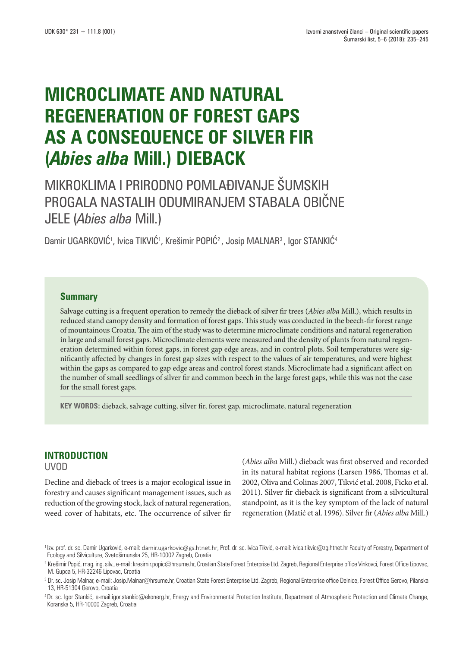# **MICROCLIMATE AND NATURAL REGENERATION OF FOREST GAPS AS A CONSEQUENCE OF SILVER FIR (***Abies alba* **Mill.) DIEBACK**

## MIKROKLIMA I PRIRODNO POMLAĐIVANJE ŠUMSKIH PROGALA NASTALIH ODUMIRANJEM STABALA OBIČNE JELE (*Abies alba* Mill.)

Damir UGARKOVIC1, Ivica TIKVIC1, Krešimir POPIC<sup>2</sup> , Josip MALNAR3 , Igor STANKIC4

## **Summary**

Salvage cutting is a frequent operation to remedy the dieback of silver fir trees (*Abies alba* Mill.), which results in reduced stand canopy density and formation of forest gaps. This study was conducted in the beech-fir forest range of mountainous Croatia. The aim of the study was to determine microclimate conditions and natural regeneration in large and small forest gaps. Microclimate elements were measured and the density of plants from natural regeneration determined within forest gaps, in forest gap edge areas, and in control plots. Soil temperatures were significantly affected by changes in forest gap sizes with respect to the values of air temperatures, and were highest within the gaps as compared to gap edge areas and control forest stands. Microclimate had a significant affect on the number of small seedlings of silver fir and common beech in the large forest gaps, while this was not the case for the small forest gaps.

**KEY WORDS:** dieback, salvage cutting, silver fir, forest gap, microclimate, natural regeneration

## **INTRODUCTION**

UVOD

Decline and dieback of trees is a major ecological issue in forestry and causes significant management issues, such as reduction of the growing stock, lack of natural regeneration, weed cover of habitats, etc. The occurrence of silver fir (*Abies alba* Mill.) dieback was first observed and recorded in its natural habitat regions (Larsen 1986, Thomas et al. 2002, Oliva and Colinas 2007, Tikvić et al. 2008, Ficko et al. 2011). Silver fir dieback is significant from a silvicultural standpoint, as it is the key symptom of the lack of natural regeneration (Matić et al. 1996). Silver fir (*Abies alba* Mill.)

<sup>1</sup> Izv. prof. dr. sc. Damir Ugarković, e-mail: damir.ugarkovic@gs.htnet.hr, Prof. dr. sc. Ivica Tikvić, e-mail: ivica.tikvic@zg.htnet.hr Faculty of Forestry, Department of Ecology and Silviculture, Svetošimunska 25, HR-10002 Zagreb, Croatia

<sup>&</sup>lt;sup>2</sup> Krešimir Popić, mag. ing. silv., e-mail: kresimir.popic@hrsume.hr, Croatian State Forest Enterprise Ltd. Zagreb, Regional Enterprise office Vinkovci, Forest Office Lipovac, M. Gupca 5, HR-32246 Lipovac, Croatia

<sup>&</sup>lt;sup>3</sup> Dr. sc. Josip Malnar, e-mail: Josip.Malnar@hrsume.hr, Croatian State Forest Enterprise Ltd. Zagreb, Regional Enterprise office Delnice, Forest Office Gerovo, Pilanska 13, HR-51304 Gerovo, Croatia

<sup>4</sup> Dr. sc. Igor Stankić, e-mail:igor.stankic@ekonerg.hr, Energy and Environmental Protection Institute, Department of Atmospheric Protection and Climate Change, Koranska 5, HR-10000 Zagreb, Croatia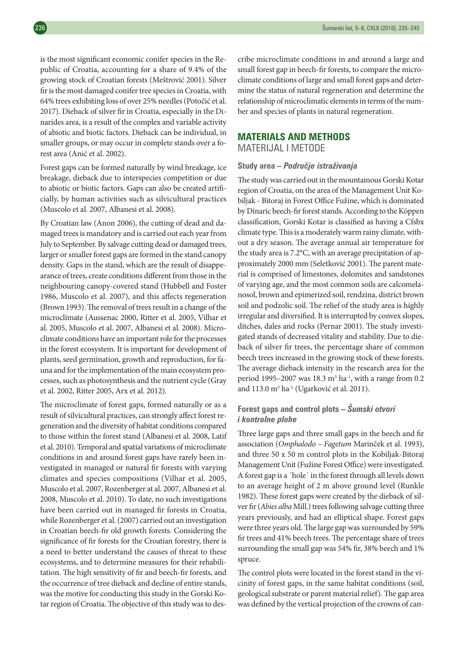is the most significant economic conifer species in the Republic of Croatia, accounting for a share of 9.4% of the growing stock of Croatian forests (Meštrović 2001). Silver fir is the most damaged conifer tree species in Croatia, with 64% trees exhibiting loss of over 25% needles (Potočić et al. 2017). Dieback of silver fir in Croatia, especially in the Dinarides area, is a result of the complex and variable activity of abiotic and biotic factors. Dieback can be individual, in smaller groups, or may occur in complete stands over a forest area (Anić et al. 2002).

Forest gaps can be formed naturally by wind breakage, ice breakage, dieback due to interspecies competition or due to abiotic or biotic factors. Gaps can also be created artificially, by human activities such as silvicultural practices (Muscolo et al. 2007, Albanesi et al. 2008).

By Croatian law (Anon 2006), the cutting of dead and damaged trees is mandatory and is carried out each year from July to September. By salvage cutting dead or damaged trees, larger or smaller forest gaps are formed in the stand canopy density. Gaps in the stand, which are the result of disappearance of trees, create conditions different from those in the neighbouring canopy-covered stand (Hubbell and Foster 1986, Muscolo et al. 2007), and this affects regeneration (Brown 1993). The removal of trees result in a change of the microclimate (Aussenac 2000, Ritter et al. 2005, Vilhar et al. 2005, Muscolo et al. 2007, Albanesi et al. 2008). Microclimate conditions have an important role for the processes in the forest ecosystem. It is important for development of plants, seed germination, growth and reproduction, for fauna and for the implementation of the main ecosystem processes, such as photosynthesis and the nutrient cycle (Gray et al. 2002, Ritter 2005, Arx et al. 2012).

The microclimate of forest gaps, formed naturally or as a result of silvicultural practices, can strongly affect forest regeneration and the diversity of habitat conditions compared to those within the forest stand (Albanesi et al. 2008, Latif et al. 2010). Temporal and spatial variations of microclimate conditions in and around forest gaps have rarely been investigated in managed or natural fir forests with varying climates and species compositions (Vilhar et al. 2005, Muscolo et al. 2007, Rozenberger at al. 2007, Albanesi et al. 2008, Muscolo et al. 2010). To date, no such investigations have been carried out in managed fir forests in Croatia, while Rozenberger et al. (2007) carried out an investigation in Croatian beech-fir old growth forests. Considering the significance of fir forests for the Croatian forestry, there is a need to better understand the causes of threat to these ecosystems, and to determine measures for their rehabilitation. The high sensitivity of fir and beech-fir forests, and the occurrence of tree dieback and decline of entire stands, was the motive for conducting this study in the Gorski Kotar region of Croatia. The objective of this study was to describe microclimate conditions in and around a large and small forest gap in beech-fir forests, to compare the microclimate conditions of large and small forest gaps and determine the status of natural regeneration and determine the relationship of microclimatic elements in terms of the number and species of plants in natural regeneration.

## **MATERIALS AND METHODS**

MATERIJAL I METODE

#### **Study area –** *Područje istraživanja*

The study was carried out in the mountainous Gorski Kotar region of Croatia, on the area of the Management Unit Kobiljak - Bitoraj in Forest Office Fužine, which is dominated by Dinaric beech-fir forest stands. According to the Köppen classification, Gorski Kotar is classified as having a Cfsbx climate type. This is a moderately warm rainy climate, without a dry season. The average annual air temperature for the study area is 7.2°C, with an average precipitation of approximately 2000 mm (Seletković 2001). The parent material is comprised of limestones, dolomites and sandstones of varying age, and the most common soils are calcomelanosol, brown and epimerized soil, rendzina, district brown soil and podzolic soil. The relief of the study area is highly irregular and diversified. It is interrupted by convex slopes, ditches, dales and rocks (Pernar 2001). The study investigated stands of decreased vitality and stability. Due to dieback of silver fir trees, the percentage share of common beech trees increased in the growing stock of these forests. The average dieback intensity in the research area for the period 1995–2007 was 18.3  $m<sup>3</sup>$  ha<sup>-1</sup>, with a range from 0.2 and 113.0 m3 ha-1 (Ugarković et al. 2011).

## **Forest gaps and control plots –** *Šumski otvori i kontrolne plohe*

Three large gaps and three small gaps in the beech and fir association (*Omphalodo – Fagetum* Marinček et al. 1993), and three 50 x 50 m control plots in the Kobiljak-Bitoraj Management Unit (Fužine Forest Office) were investigated. A forest gap is a ´hole´ in the forest through all levels down to an average height of 2 m above ground level (Runkle 1982). These forest gaps were created by the dieback of silver fir (*Abies alba* Mill.) trees following salvage cutting three years previously, and had an elliptical shape. Forest gaps were three years old. The large gap was surrounded by 59% fir trees and 41% beech trees. The percentage share of trees surrounding the small gap was 54% fir, 38% beech and 1% spruce.

The control plots were located in the forest stand in the vicinity of forest gaps, in the same habitat conditions (soil, geological substrate or parent material relief). The gap area was defined by the vertical projection of the crowns of can-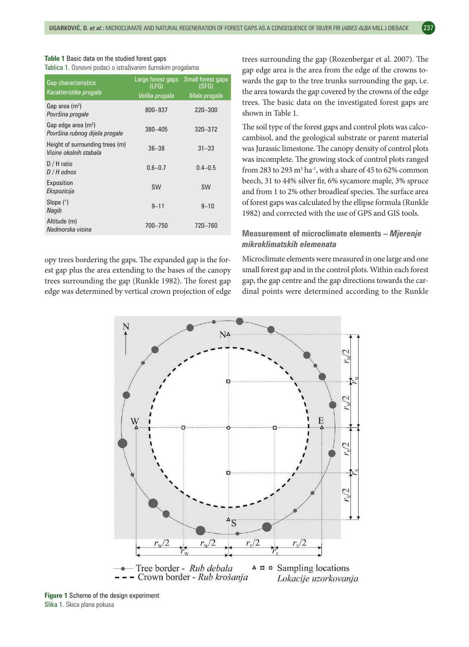| <b>Table 1</b> Basic data on the studied forest gaps       |  |
|------------------------------------------------------------|--|
| Tablica 1. Osnovni podaci o istraživanim šumskim progalama |  |

| <b>Gap characteristics</b><br>Karakteristike progala      | Large forest gaps<br>(LFG) | Small forest gaps<br>(SFG) |  |
|-----------------------------------------------------------|----------------------------|----------------------------|--|
|                                                           | <u>Velika progala</u>      | Mala progala               |  |
| Gap area $(m2)$<br>Površina progale                       | 800-937                    | 220-300                    |  |
| Gap edge area $(m2)$<br>Površina rubnog dijela progale    | 380-405                    | 320 - 372                  |  |
| Height of surrounding trees (m)<br>Visine okolnih stabala | $36 - 38$                  | $31 - 33$                  |  |
| $D / H$ ratio<br>$D/H$ odnos                              | $0.6 - 0.7$                | $0.4 - 0.5$                |  |
| Exposition<br>Ekspozicija                                 | <b>SW</b>                  | <b>SW</b>                  |  |
| Slope $(°)$<br>Nagib                                      | $9 - 11$                   | $9 - 10$                   |  |
| Altitude (m)<br>Nadmorska visina                          | 700-750                    | 720-760                    |  |

opy trees bordering the gaps. The expanded gap is the forest gap plus the area extending to the bases of the canopy trees surrounding the gap (Runkle 1982). The forest gap edge was determined by vertical crown projection of edge trees surrounding the gap (Rozenbergar et al. 2007). The gap edge area is the area from the edge of the crowns towards the gap to the tree trunks surrounding the gap, i.e. the area towards the gap covered by the crowns of the edge trees. The basic data on the investigated forest gaps are shown in Table 1.

The soil type of the forest gaps and control plots was calcocambisol, and the geological substrate or parent material was Jurassic limestone. The canopy density of control plots was incomplete. The growing stock of control plots ranged from 283 to 293  $\text{m}^3 \text{ ha}^{-1}$ , with a share of 45 to 62% common beech, 31 to 44% silver fir, 6% sycamore maple, 3% spruce and from 1 to 2% other broadleaf species. The surface area of forest gaps was calculated by the ellipse formula (Runkle 1982) and corrected with the use of GPS and GIS tools.

#### **Measurement of microclimate elements –** *Mjerenje mikroklimatskih elemenata*

Microclimate elements were measured in one large and one small forest gap and in the control plots. Within each forest gap, the gap centre and the gap directions towards the cardinal points were determined according to the Runkle



**Figure 1** Scheme of the design experiment Slika 1. Skica plana pokusa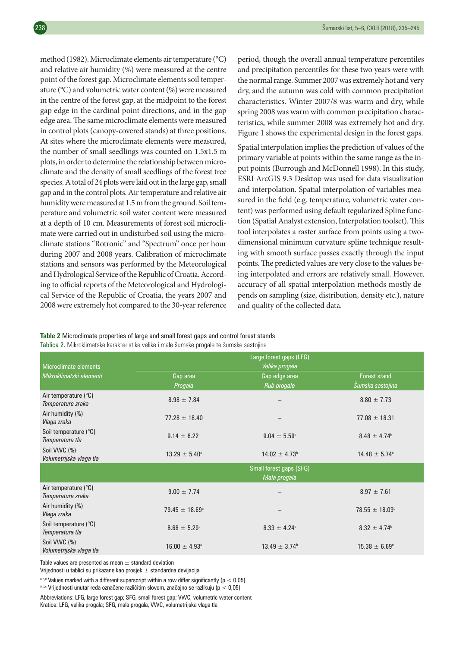method (1982). Microclimate elements air temperature (°C) and relative air humidity (%) were measured at the centre point of the forest gap. Microclimate elements soil temperature (°C) and volumetric water content (%) were measured in the centre of the forest gap, at the midpoint to the forest gap edge in the cardinal point directions, and in the gap edge area. The same microclimate elements were measured in control plots (canopy-covered stands) at three positions. At sites where the microclimate elements were measured, the number of small seedlings was counted on 1.5x1.5 m plots, in order to determine the relationship between microclimate and the density of small seedlings of the forest tree species. A total of 24 plots were laid out in the large gap, small gap and in the control plots. Air temperature and relative air humidity were measured at 1.5 m from the ground. Soil temperature and volumetric soil water content were measured at a depth of 10 cm. Measurements of forest soil microclimate were carried out in undisturbed soil using the microclimate stations "Rotronic" and "Spectrum" once per hour during 2007 and 2008 years. Calibration of microclimate stations and sensors was performed by the Meteorological and Hydrological Service of the Republic of Croatia. According to official reports of the Meteorological and Hydrological Service of the Republic of Croatia, the years 2007 and 2008 were extremely hot compared to the 30-year reference period, though the overall annual temperature percentiles and precipitation percentiles for these two years were with the normal range. Summer 2007 was extremely hot and very dry, and the autumn was cold with common precipitation characteristics. Winter 2007/8 was warm and dry, while spring 2008 was warm with common precipitation characteristics, while summer 2008 was extremely hot and dry. Figure 1 shows the experimental design in the forest gaps.

Spatial interpolation implies the prediction of values of the primary variable at points within the same range as the input points (Burrough and McDonnell 1998). In this study, ESRI ArcGIS 9.3 Desktop was used for data visualization and interpolation. Spatial interpolation of variables measured in the field (e.g. temperature, volumetric water content) was performed using default regularized Spline function (Spatial Analyst extension, Interpolation toolset). This tool interpolates a raster surface from points using a twodimensional minimum curvature spline technique resulting with smooth surface passes exactly through the input points. The predicted values are very close to the values being interpolated and errors are relatively small. However, accuracy of all spatial interpolation methods mostly depends on sampling (size, distribution, density etc.), nature and quality of the collected data.

**Table 2** Microclimate properties of large and small forest gaps and control forest stands

Tablica 2. Mikroklimatske karakteristike velike i male šumske progale te šumske sastojine

| Microclimate elements                              | Large forest gaps (LFG)<br>Velika progala |                                         |                                         |  |  |
|----------------------------------------------------|-------------------------------------------|-----------------------------------------|-----------------------------------------|--|--|
| Mikroklimatski elementi                            | Gap area<br>Progala                       | Gap edge area<br>Rub progale            | <b>Forest stand</b><br>Šumska sastojina |  |  |
| Air temperature $(^{\circ}C)$<br>Temperature zraka | $8.98 \pm 7.84$                           |                                         | $8.80 \pm 7.73$                         |  |  |
| Air humidity (%)<br>Vlaga zraka                    | $77.28 \pm 18.40$                         |                                         | $77.08 \pm 18.31$                       |  |  |
| Soil temperature (°C)<br>Temperatura tla           | $9.14 \pm 6.22^{\circ}$                   | $9.04 \pm 5.59^{\circ}$                 | $8.48 \pm 4.74$ <sup>b</sup>            |  |  |
| Soil VWC (%)<br>Volumetrijska vlaga tla            | $13.29 \pm 5.40^{\circ}$                  |                                         | $14.48 \pm 5.74$ °                      |  |  |
|                                                    |                                           | Small forest gaps (SFG)<br>Mala progala |                                         |  |  |
| Air temperature (°C)<br>Temperature zraka          | $9.00 \pm 7.74$                           |                                         | $8.97 \pm 7.61$                         |  |  |
| Air humidity (%)<br>Vlaga zraka                    | $79.45 \pm 18.69^{\circ}$                 |                                         | $78.55 \pm 18.09^{\circ}$               |  |  |
| Soil temperature (°C)<br>Temperatura tla           | $8.68 \pm 5.29^{\circ}$                   | $8.33 \pm 4.24$ <sup>b</sup>            | $8.32 \pm 4.74$ <sup>b</sup>            |  |  |
| Soil VWC (%)<br>Volumetrijska vlaga tla            | $16.00 \pm 4.93$ <sup>a</sup>             | $13.49 \pm 3.74^b$                      | $15.38 \pm 6.69^{\circ}$                |  |  |

Table values are presented as mean  $\pm$  standard deviation

Vrijednosti u tablici su prikazane kao prosjek  $\pm$  standardna devijacija

a,b,c Values marked with a different superscript within a row differ significantly ( $p < 0.05$ )

a,b,c Vrijednosti unutar reda označene različitim slovom, značajno se razlikuju (p < 0,05)

Abbreviations: LFG, large forest gap; SFG, small forest gap; VWC, volumetric water content Kratice: LFG, velika progala; SFG, mala progala, VWC, volumetrijska vlaga tla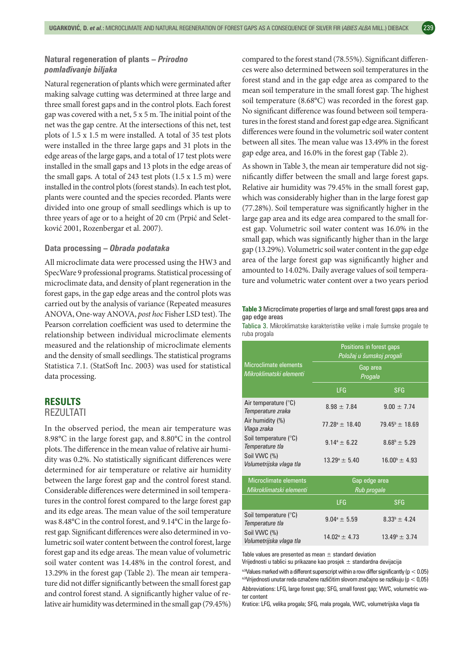#### **Natural regeneration of plants –** *Prirodno pomlađivanje biljaka*

Natural regeneration of plants which were germinated after making salvage cutting was determined at three large and three small forest gaps and in the control plots. Each forest gap was covered with a net, 5 x 5 m. The initial point of the net was the gap centre. At the intersections of this net, test plots of 1.5 x 1.5 m were installed. A total of 35 test plots were installed in the three large gaps and 31 plots in the edge areas of the large gaps, and a total of 17 test plots were installed in the small gaps and 13 plots in the edge areas of the small gaps. A total of 243 test plots (1.5 x 1.5 m) were installed in the control plots (forest stands). In each test plot, plants were counted and the species recorded. Plants were divided into one group of small seedlings which is up to three years of age or to a height of 20 cm (Prpić and Seletković 2001, Rozenbergar et al. 2007).

#### **Data processing –** *Obrada podataka*

All microclimate data were processed using the HW3 and SpecWare 9 professional programs. Statistical processing of microclimate data, and density of plant regeneration in the forest gaps, in the gap edge areas and the control plots was carried out by the analysis of variance (Repeated measures ANOVA, One-way ANOVA, *post hoc* Fisher LSD test). The Pearson correlation coefficient was used to determine the relationship between individual microclimate elements measured and the relationship of microclimate elements and the density of small seedlings. The statistical programs Statistica 7.1. (StatSoft Inc. 2003) was used for statistical data processing.

## **RESULTS**

#### REZULTATI

In the observed period, the mean air temperature was 8.98°C in the large forest gap, and 8.80°C in the control plots. The difference in the mean value of relative air humidity was 0.2%. No statistically significant differences were determined for air temperature or relative air humidity between the large forest gap and the control forest stand. Considerable differences were determined in soil temperatures in the control forest compared to the large forest gap and its edge areas. The mean value of the soil temperature was 8.48°C in the control forest, and 9.14°C in the large forest gap. Significant differences were also determined in volumetric soil water content between the control forest, large forest gap and its edge areas. The mean value of volumetric soil water content was 14.48% in the control forest, and 13.29% in the forest gap (Table 2). The mean air temperature did not differ significantly between the small forest gap and control forest stand. A significantly higher value of relative air humidity was determined in the small gap (79.45%) compared to the forest stand (78.55%). Significant differences were also determined between soil temperatures in the forest stand and in the gap edge area as compared to the mean soil temperature in the small forest gap. The highest soil temperature (8.68°C) was recorded in the forest gap. No significant difference was found between soil temperatures in the forest stand and forest gap edge area. Significant differences were found in the volumetric soil water content between all sites. The mean value was 13.49% in the forest gap edge area, and 16.0% in the forest gap (Table 2).

As shown in Table 3, the mean air temperature did not significantly differ between the small and large forest gaps. Relative air humidity was 79.45% in the small forest gap, which was considerably higher than in the large forest gap (77.28%). Soil temperature was significantly higher in the large gap area and its edge area compared to the small forest gap. Volumetric soil water content was 16.0% in the small gap, which was significantly higher than in the large gap (13.29%). Volumetric soil water content in the gap edge area of the large forest gap was significantly higher and amounted to 14.02%. Daily average values of soil temperature and volumetric water content over a two years period

**Table 3** Microclimate properties of large and small forest gaps area and gap edge areas

Tablica 3. Mikroklimatske karakteristike velike i male šumske progale te ruba progala

|                                                            | Positions in forest gaps<br>Položaj u šumskoj progali |                           |  |  |
|------------------------------------------------------------|-------------------------------------------------------|---------------------------|--|--|
| Microclimate elements<br>Mikroklimatski elementi           | Gap area<br>Progala                                   |                           |  |  |
|                                                            | LFG                                                   | <b>SFG</b>                |  |  |
| Air temperature $(^\circ \mathsf{C})$<br>Temperature zraka | $8.98 \pm 7.84$                                       | $9.00 \pm 7.74$           |  |  |
| Air humidity (%)<br>Vlaga zraka                            | $77.28^{\circ} \pm 18.40$                             | $79.45^{\circ} \pm 18.69$ |  |  |
| Soil temperature (°C)<br>Temperature tla                   | $9.14^{\circ} \pm 6.22$                               | $8.68^{\circ} \pm 5.29$   |  |  |
| Soil VWC (%)<br>Volumetrijska vlaga tla                    | $13.29^{\circ} \pm 5.40$                              | $16.00^{\circ} \pm 4.93$  |  |  |
| Microclimato clamonte                                      |                                                       | Can odgo aroa             |  |  |

| Microclimate elements                    |                          | 'Gap edge area,          |  |
|------------------------------------------|--------------------------|--------------------------|--|
| Mikroklimatski elementi                  | Rub progale              |                          |  |
|                                          | I FG.                    | <b>SFG</b>               |  |
| Soil temperature (°C)<br>Temperature tla | $9.04^{\circ} \pm 5.59$  | $8.33^{b} + 4.24$        |  |
| Soil VWC (%)<br>Volumetrijska vlaga tla  | $14.02^{\circ} \pm 4.73$ | $13.49^{\circ} \pm 3.74$ |  |

Table values are presented as mean  $\pm$  standard deviation

Vrijednosti u tablici su prikazane kao prosjek  $\pm$  standardna devijacija

a,bValues marked with a different superscript within a row differ significantly ( $p < 0.05$ ) a,bVrijednosti unutar reda označene različitim slovom značajno se razlikuju (p < 0,05)

Abbreviations: LFG, large forest gap; SFG, small forest gap; VWC, volumetric water content

Kratice: LFG, velika progala; SFG, mala progala, VWC, volumetrijska vlaga tla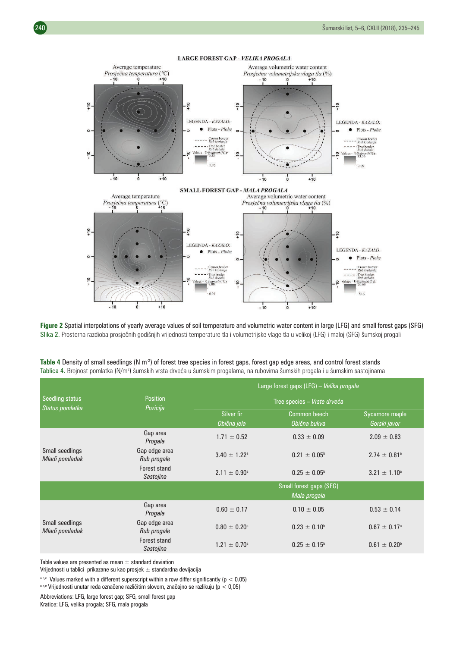

**Figure 2** Spatial interpolations of yearly average values of soil temperature and volumetric water content in large (LFG) and small forest gaps (SFG) Slika 2. Prostorna razdioba prosječnih godišnjih vrijednosti temperature tla i volumetrijske vlage tla u velikoj (LFG) i maloj (SFG) šumskoj progali

|                                    |                              | Large forest gaps (LFG) - Velika progala |                                         |                                |  |  |
|------------------------------------|------------------------------|------------------------------------------|-----------------------------------------|--------------------------------|--|--|
| Seedling status<br>Status pomlatka | <b>Position</b><br>Pozicija  | Tree species - Vrste drveća              |                                         |                                |  |  |
|                                    |                              | Silver fir<br>Obična jela                | Common beech<br>Obična bukva            | Sycamore maple<br>Gorski javor |  |  |
|                                    | Gap area<br>Progala          | $1.71 \pm 0.52$                          | $0.33 \pm 0.09$                         | $2.09 \pm 0.83$                |  |  |
| Small seedlings<br>Mlađi pomladak  | Gap edge area<br>Rub progale | $3.40 \pm 1.22^{\circ}$                  | $0.21 \pm 0.05^{\circ}$                 | $2.74 \pm 0.81$ <sup>a</sup>   |  |  |
|                                    | Forest stand<br>Sastojina    | $2.11 \pm 0.90^{\circ}$                  | $0.25 \pm 0.05^{\circ}$                 | $3.21 \pm 1.10^a$              |  |  |
|                                    |                              |                                          | Small forest gaps (SFG)<br>Mala progala |                                |  |  |
|                                    | Gap area<br>Progala          | $0.60 \pm 0.17$                          | $0.10 \pm 0.05$                         | $0.53 \pm 0.14$                |  |  |
| Small seedlings<br>Mlađi pomladak  | Gap edge area<br>Rub progale | $0.80 \pm 0.20$ <sup>a</sup>             | $0.23 \pm 0.10^{\circ}$                 | $0.67 \pm 0.17$ <sup>a</sup>   |  |  |
|                                    | Forest stand<br>Sastojina    | $1.21 \pm 0.70^{\circ}$                  | $0.25 \pm 0.15^{\circ}$                 | $0.61 \pm 0.20^{\circ}$        |  |  |

Table 4 Density of small seedlings (N m<sup>2</sup>) of forest tree species in forest gaps, forest gap edge areas, and control forest stands Tablica 4. Brojnost pomlatka (N/m²) šumskih vrsta drveća u šumskim progalama, na rubovima šumskih progala i u šumskim sastojinama

Table values are presented as mean  $\pm$  standard deviation

Vrijednosti u tablici prikazane su kao prosjek  $\pm$  standardna devijacija

 $a,b,c$  Values marked with a different superscript within a row differ significantly (p < 0.05)

a,b,c Vrijednosti unutar reda označene različitim slovom, značajno se razlikuju (p < 0,05)

Abbreviations: LFG, large forest gap; SFG, small forest gap Kratice: LFG, velika progala; SFG, mala progala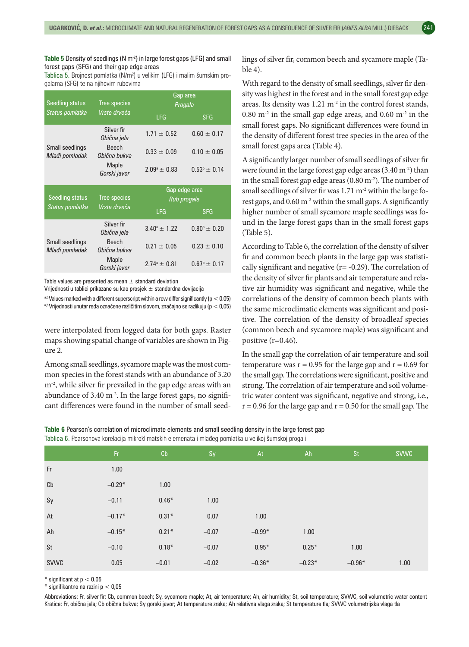#### Table 5 Density of seedlings (N m<sup>-2</sup>) in large forest gaps (LFG) and small forest gaps (SFG) and their gap edge areas

**Tablica 5.** Brojnost pomlatka (N/m²) u velikim (LFG) i malim šumskim progalama (SFG) te na njihovim rubovima

| <b>Seedling status</b>            | Tree species                 | Gap area<br>Progala     |                         |  |
|-----------------------------------|------------------------------|-------------------------|-------------------------|--|
| Status pomlatka                   | Vrste drveća                 | <b>LFG</b>              | <b>SFG</b>              |  |
|                                   | Silver fir<br>Obična jela    | $1.71 \pm 0.52$         | $0.60 \pm 0.17$         |  |
| Small seedlings<br>Mlađi pomladak | <b>Beech</b><br>Obična bukva | $0.33 \pm 0.09$         | $0.10 \pm 0.05$         |  |
|                                   | <b>Maple</b><br>Gorski javor | $2.09^{\circ} \pm 0.83$ | $0.53^b \pm 0.14$       |  |
|                                   |                              |                         |                         |  |
|                                   |                              | Gap edge area           |                         |  |
| <b>Seedling status</b>            | Tree species                 | Rub progale             |                         |  |
| Status pomlatka                   | Vrste drveća                 | <b>LFG</b>              | <b>SFG</b>              |  |
|                                   | Silver fir<br>Obična jela    | $3.40^{\circ} \pm 1.22$ | $0.80^{\circ} \pm 0.20$ |  |
| Small seedlings<br>Mlađi pomladak | <b>Beech</b><br>Obična bukva | $0.21 \pm 0.05$         | $0.23 \pm 0.10$         |  |

Table values are presented as mean  $\pm$  standard deviation

Vrijednosti u tablici prikazane su kao prosjek  $\pm$  standardna devijacija

a,b Values marked with a different superscript within a row differ significantly ( $p < 0.05$ ) a,b Vrijednosti unutar reda označene različitim slovom, značajno se razlikuju (p < 0,05)

were interpolated from logged data for both gaps. Raster

maps showing spatial change of variables are shown in Figure 2.

Among small seedlings, sycamore maple was the most common species in the forest stands with an abundance of 3.20 m<sup>-2</sup>, while silver fir prevailed in the gap edge areas with an abundance of  $3.40 \text{ m}^2$ . In the large forest gaps, no significant differences were found in the number of small seedlings of silver fir, common beech and sycamore maple (Table 4).

With regard to the density of small seedlings, silver fir density was highest in the forest and in the small forest gap edge areas. Its density was  $1.21 \text{ m}^2$  in the control forest stands, 0.80  $m<sup>-2</sup>$  in the small gap edge areas, and 0.60  $m<sup>-2</sup>$  in the small forest gaps. No significant differences were found in the density of different forest tree species in the area of the small forest gaps area (Table 4).

A significantly larger number of small seedlings of silver fir were found in the large forest gap edge areas  $(3.40 \,\mathrm{m}^2)$  than in the small forest gap edge areas  $(0.80 \,\mathrm{m}^{-2})$ . The number of small seedlings of silver fir was 1.71 m<sup>-2</sup> within the large forest gaps, and  $0.60$  m<sup>-2</sup> within the small gaps. A significantly higher number of small sycamore maple seedlings was found in the large forest gaps than in the small forest gaps (Table 5).

According to Table 6, the correlation of the density of silver fir and common beech plants in the large gap was statistically significant and negative ( $r = -0.29$ ). The correlation of the density of silver fir plants and air temperature and relative air humidity was significant and negative, while the correlations of the density of common beech plants with the same microclimatic elements was significant and positive. The correlation of the density of broadleaf species (common beech and sycamore maple) was significant and positive  $(r=0.46)$ .

In the small gap the correlation of air temperature and soil temperature was  $r = 0.95$  for the large gap and  $r = 0.69$  for the small gap. The correlations were significant, positive and strong. The correlation of air temperature and soil volumetric water content was significant, negative and strong, i.e.,  $r = 0.96$  for the large gap and  $r = 0.50$  for the small gap. The

**Table 6** Pearson's correlation of microclimate elements and small seedling density in the large forest gap Tablica 6. Pearsonova korelacija mikroklimatskih elemenata i mlađeg pomlatka u velikoj šumskoj progali

|             | Fr.      | Cb      | Sy      | At       | Ah       | <b>St</b> | <b>SVWC</b> |
|-------------|----------|---------|---------|----------|----------|-----------|-------------|
| Fr          | 1.00     |         |         |          |          |           |             |
| Cb          | $-0.29*$ | 1.00    |         |          |          |           |             |
| Sy          | $-0.11$  | $0.46*$ | 1.00    |          |          |           |             |
| At          | $-0.17*$ | $0.31*$ | 0.07    | 1.00     |          |           |             |
| Ah          | $-0.15*$ | $0.21*$ | $-0.07$ | $-0.99*$ | 1.00     |           |             |
| <b>St</b>   | $-0.10$  | $0.18*$ | $-0.07$ | $0.95*$  | $0.25*$  | 1.00      |             |
| <b>SVWC</b> | 0.05     | $-0.01$ | $-0.02$ | $-0.36*$ | $-0.23*$ | $-0.96*$  | 1.00        |

 $*$  significant at  $p < 0.05$ 

 $*$  signifikantno na razini p  $< 0.05$ 

Abbreviations: Fr, silver fir; Cb, common beech; Sy, sycamore maple; At, air temperature; Ah, air humidity; St, soil temperature; SVWC, soil volumetric water content Kratice: Fr, obična jela; Cb obična bukva; Sy gorski javor; At temperature zraka; Ah relativna vlaga zraka; St temperature tla; SVWC volumetrijska vlaga tla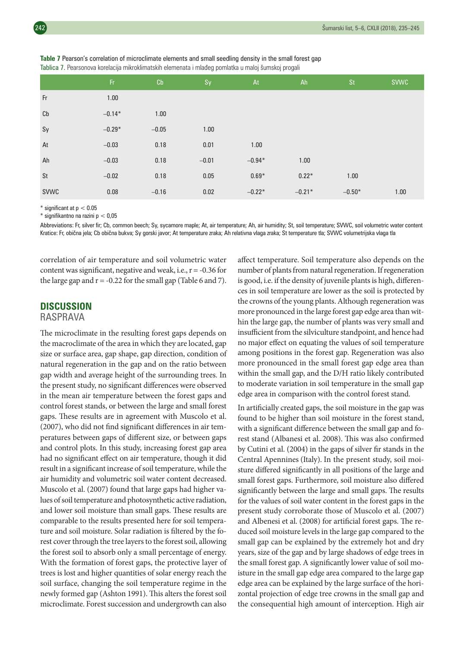|             | Fr.      | Cb      | Sy      | At       | Ah       | <b>St</b> | <b>SVWC</b> |
|-------------|----------|---------|---------|----------|----------|-----------|-------------|
| Fr          | 1.00     |         |         |          |          |           |             |
| Cb          | $-0.14*$ | 1.00    |         |          |          |           |             |
| Sy          | $-0.29*$ | $-0.05$ | 1.00    |          |          |           |             |
| At          | $-0.03$  | 0.18    | 0.01    | 1.00     |          |           |             |
| Ah          | $-0.03$  | 0.18    | $-0.01$ | $-0.94*$ | 1.00     |           |             |
| <b>St</b>   | $-0.02$  | 0.18    | 0.05    | $0.69*$  | $0.22*$  | 1.00      |             |
| <b>SVWC</b> | 0.08     | $-0.16$ | 0.02    | $-0.22*$ | $-0.21*$ | $-0.50*$  | 1.00        |

**Table 7** Pearson's correlation of microclimate elements and small seedling density in the small forest gap Tablica 7. Pearsonova korelacija mikroklimatskih elemenata i mlađeg pomlatka u maloj šumskoj progali

 $*$  significant at  $p < 0.05$ 

\* signifikantno na razini p < 0,05

Abbreviations: Fr, silver fir; Cb, common beech; Sy, sycamore maple; At, air temperature; Ah, air humidity; St, soil temperature; SVWC, soil volumetric water content Kratice: Fr, obična jela; Cb obična bukva; Sy gorski javor; At temperature zraka; Ah relativna vlaga zraka; St temperature tla; SVWC volumetrijska vlaga tla

correlation of air temperature and soil volumetric water content was significant, negative and weak, i.e.,  $r = -0.36$  for the large gap and  $r = -0.22$  for the small gap (Table 6 and 7).

## **DISCUSSION**

#### RASPRAVA

The microclimate in the resulting forest gaps depends on the macroclimate of the area in which they are located, gap size or surface area, gap shape, gap direction, condition of natural regeneration in the gap and on the ratio between gap width and average height of the surrounding trees. In the present study, no significant differences were observed in the mean air temperature between the forest gaps and control forest stands, or between the large and small forest gaps. These results are in agreement with Muscolo et al. (2007), who did not find significant differences in air temperatures between gaps of different size, or between gaps and control plots. In this study, increasing forest gap area had no significant effect on air temperature, though it did result in a significant increase of soil temperature, while the air humidity and volumetric soil water content decreased. Muscolo et al. (2007) found that large gaps had higher values of soil temperature and photosynthetic active radiation, and lower soil moisture than small gaps. These results are comparable to the results presented here for soil temperature and soil moisture. Solar radiation is filtered by the forest cover through the tree layers to the forest soil, allowing the forest soil to absorb only a small percentage of energy. With the formation of forest gaps, the protective layer of trees is lost and higher quantities of solar energy reach the soil surface, changing the soil temperature regime in the newly formed gap (Ashton 1991). This alters the forest soil microclimate. Forest succession and undergrowth can also

affect temperature. Soil temperature also depends on the number of plants from natural regeneration. If regeneration is good, i.e. if the density of juvenile plants is high, differences in soil temperature are lower as the soil is protected by the crowns of the young plants. Although regeneration was more pronounced in the large forest gap edge area than within the large gap, the number of plants was very small and insufficient from the silviculture standpoint, and hence had no major effect on equating the values of soil temperature among positions in the forest gap. Regeneration was also more pronounced in the small forest gap edge area than within the small gap, and the D/H ratio likely contributed to moderate variation in soil temperature in the small gap edge area in comparison with the control forest stand.

In artificially created gaps, the soil moisture in the gap was found to be higher than soil moisture in the forest stand, with a significant difference between the small gap and forest stand (Albanesi et al. 2008). This was also confirmed by Cutini et al. (2004) in the gaps of silver fir stands in the Central Apennines (Italy). In the present study, soil moisture differed significantly in all positions of the large and small forest gaps. Furthermore, soil moisture also differed significantly between the large and small gaps. The results for the values of soil water content in the forest gaps in the present study corroborate those of Muscolo et al. (2007) and Albenesi et al. (2008) for artificial forest gaps. The reduced soil moisture levels in the large gap compared to the small gap can be explained by the extremely hot and dry years, size of the gap and by large shadows of edge trees in the small forest gap. A significantly lower value of soil moisture in the small gap edge area compared to the large gap edge area can be explained by the large surface of the horizontal projection of edge tree crowns in the small gap and the consequential high amount of interception. High air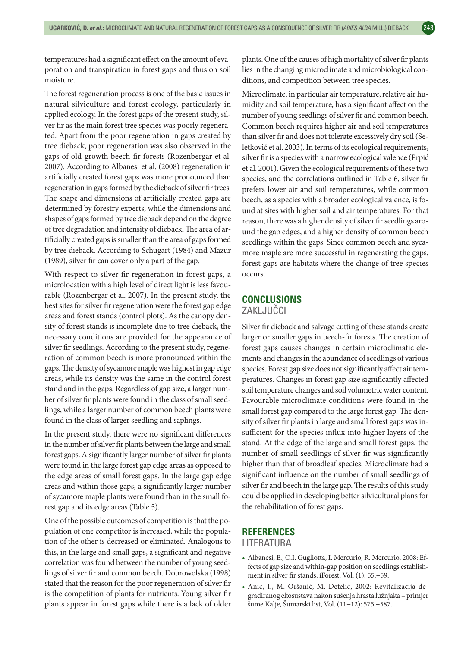temperatures had a significant effect on the amount of evaporation and transpiration in forest gaps and thus on soil moisture.

The forest regeneration process is one of the basic issues in natural silviculture and forest ecology, particularly in applied ecology. In the forest gaps of the present study, silver fir as the main forest tree species was poorly regenerated. Apart from the poor regeneration in gaps created by tree dieback, poor regeneration was also observed in the gaps of old-growth beech-fir forests (Rozenbergar et al. 2007). According to Albanesi et al. (2008) regeneration in artificially created forest gaps was more pronounced than regeneration in gaps formed by the dieback of silver fir trees. The shape and dimensions of artificially created gaps are determined by forestry experts, while the dimensions and shapes of gaps formed by tree dieback depend on the degree of tree degradation and intensity of dieback. The area of artificially created gaps is smaller than the area of gaps formed by tree dieback. According to Schugart (1984) and Mazur (1989), silver fir can cover only a part of the gap.

With respect to silver fir regeneration in forest gaps, a microlocation with a high level of direct light is less favourable (Rozenbergar et al. 2007). In the present study, the best sites for silver fir regeneration were the forest gap edge areas and forest stands (control plots). As the canopy density of forest stands is incomplete due to tree dieback, the necessary conditions are provided for the appearance of silver fir seedlings. According to the present study, regeneration of common beech is more pronounced within the gaps. The density of sycamore maple was highest in gap edge areas, while its density was the same in the control forest stand and in the gaps. Regardless of gap size, a larger number of silver fir plants were found in the class of small seedlings, while a larger number of common beech plants were found in the class of larger seedling and saplings.

In the present study, there were no significant differences in the number of silver fir plants between the large and small forest gaps. A significantly larger number of silver fir plants were found in the large forest gap edge areas as opposed to the edge areas of small forest gaps. In the large gap edge areas and within those gaps, a significantly larger number of sycamore maple plants were found than in the small forest gap and its edge areas (Table 5).

One of the possible outcomes of competition is that the population of one competitor is increased, while the population of the other is decreased or eliminated. Analogous to this, in the large and small gaps, a significant and negative correlation was found between the number of young seedlings of silver fir and common beech. Dobrowolska (1998) stated that the reason for the poor regeneration of silver fir is the competition of plants for nutrients. Young silver fir plants appear in forest gaps while there is a lack of older plants. One of the causes of high mortality of silver fir plants lies in the changing microclimate and microbiological conditions, and competition between tree species.

Microclimate, in particular air temperature, relative air humidity and soil temperature, has a significant affect on the number of young seedlings of silver fir and common beech. Common beech requires higher air and soil temperatures than silver fir and does not tolerate excessively dry soil (Seletković et al. 2003). In terms of its ecological requirements, silver fir is a species with a narrow ecological valence (Prpić et al. 2001). Given the ecological requirements of these two species, and the correlations outlined in Table 6, silver fir prefers lower air and soil temperatures, while common beech, as a species with a broader ecological valence, is found at sites with higher soil and air temperatures. For that reason, there was a higher density of silver fir seedlings around the gap edges, and a higher density of common beech seedlings within the gaps. Since common beech and sycamore maple are more successful in regenerating the gaps, forest gaps are habitats where the change of tree species occurs.

## **CONCLUSIONS** ZAKLJUČCI

Silver fir dieback and salvage cutting of these stands create larger or smaller gaps in beech-fir forests. The creation of forest gaps causes changes in certain microclimatic elements and changes in the abundance of seedlings of various species. Forest gap size does not significantly affect air temperatures. Changes in forest gap size significantly affected soil temperature changes and soil volumetric water content. Favourable microclimate conditions were found in the small forest gap compared to the large forest gap. The density of silver fir plants in large and small forest gaps was insufficient for the species influx into higher layers of the stand. At the edge of the large and small forest gaps, the number of small seedlings of silver fir was significantly higher than that of broadleaf species. Microclimate had a significant influence on the number of small seedlings of silver fir and beech in the large gap. The results of this study could be applied in developing better silvicultural plans for the rehabilitation of forest gaps.

## **REFERENCES**

LITERATURA

- Albanesi, E., O.I. Gugliotta, I. Mercurio, R. Mercurio, 2008: Effects of gap size and within-gap position on seedlings establishment in silver fir stands, iForest, Vol. (1): 55.−59.
- Anić, I., M. Oršanić, M. Detelić, 2002: Revitalizacija degradiranog ekosustava nakon sušenja hrasta lužnjaka – primjer šume Kalje, Šumarski list, Vol. (11−12): 575.−587.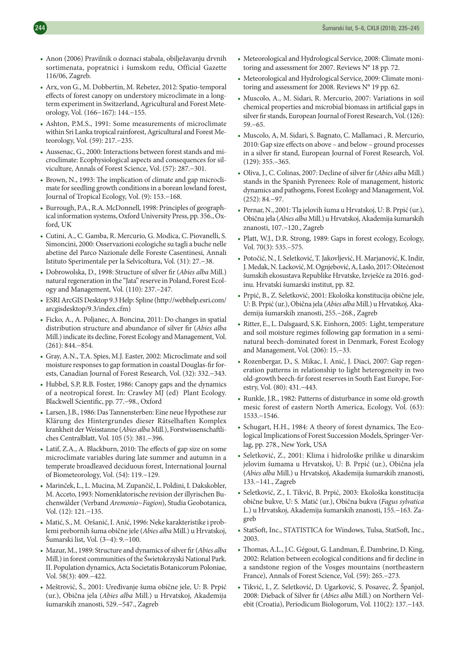- Anon (2006) Pravilnik o doznaci stabala, obilježavanju drvnih sortimenata, popratnici i šumskom redu, Official Gazette 116/06, Zagreb.
- Arx, von G., M. Dobbertin, M. Rebetez, 2012: Spatio-temporal effects of forest canopy on understory microclimate in a longterm experiment in Switzerland, Agricultural and Forest Meteorology, Vol. (166−167): 144.−155.
- Ashton, P.M.S., 1991: Some measurements of microclimate within Sri Lanka tropical rainforest, Agricultural and Forest Meteorology, Vol. (59): 217.−235.
- Aussenac, G., 2000: Interactions between forest stands and microclimate: Ecophysiological aspects and consequences for silviculture, Annals of Forest Science, Vol. (57): 287.−301.
- Brown, N., 1993: The implication of climate and gap microclimate for seedling growth conditions in a borean lowland forest, Journal of Tropical Ecology, Vol. (9): 153.−168.
- Burrough, P.A., R.A. McDonnell, 1998: Principles of geographical information systems, Oxford University Press, pp. 356., Oxford, UK
- Cutini, A., C. Gamba, R. Mercurio, G. Modica, C. Piovanelli, S. Simoncini, 2000: Osservazioni ecologiche su tagli a buche nelle abetine del Parco Nazionale delle Foreste Casentinesi, Annali Istituto Sperimentale per la Selvicoltura, Vol. (31): 27.−38.
- Dobrowolska, D., 1998: Structure of silver fir (*Abies alba* Mill.) natural regeneration in the "Jata" reserve in Poland, Forest Ecology and Management, Vol. (110): 237.–247.
- ESRI ArcGIS Desktop 9.3 Help: Spline (http://webhelp.esri.com/ arcgisdesktop/9.3/index.cfm)
- Ficko, A., A. Poljanec, A. Boncina, 2011: Do changes in spatial distribution structure and abundance of silver fir (*Abies alba* Mill.) indicate its decline, Forest Ecology and Management, Vol. (261): 844.−854.
- Gray, A.N., T.A. Spies, M.J. Easter, 2002: Microclimate and soil moisture responses to gap formation in coastal Douglas-fir forests, Canadian Journal of Forest Research, Vol. (32): 332.−343.
- Hubbel, S.P, R.B. Foster, 1986: Canopy gaps and the dynamics of a neotropical forest. In: Crawley MJ (ed) Plant Ecology. Blackwell Scientific, pp. 77.−98., Oxford
- Larsen, J.B., 1986: Das Tannensterben: Eine neue Hypothese zur Klärung des Hintergrundes dieser Rätselhaften Komplex krankheit der Weisstanne (*Abies alba* Mill.), Forstwissenschaftliches Centralblatt, Vol. 105 (5): 381.−396.
- Latif, Z.A., A. Blackburn, 2010: The effects of gap size on some microclimate variables during late summer and autumn in a temperate broadleaved deciduous forest, International Journal of Biometeorology, Vol. (54): 119.−129.
- Marinček, L., L. Mucina, M. Zupančič, L. Poldini, I. Dakskobler, M. Acceto, 1993: Nomenklatorische revision der illyrischen Buchenwälder (Verband *Aremonio−Fagion*), Studia Geobotanica, Vol. (12): 121.−135.
- Matić, S., M. Oršanić, I. Anić, 1996: Neke karakteristike i problemi prebornih šuma obične jele (*Abies alba* Mill.) u Hrvatskoj, Šumarski list, Vol. (3−4): 9.−100.
- Mazur, M., 1989: Structure and dynamics of silver fir (*Abies alba* Mill.) in forest communities of the Świetokrzyski National Park. II. Population dynamics, Acta Societatis Botanicorum Poloniae, Vol. 58(3): 409.−422.
- Meštrović, Š., 2001: Uređivanje šuma obične jele, U: B. Prpić (ur.), Obična jela (*Abies alba* Mill.) u Hrvatskoj, Akademija šumarskih znanosti, 529.−547., Zagreb
- Meteorological and Hydrological Service, 2008: Climate monitoring and assessment for 2007. Reviews N° 18 pp. 72.
- Meteorological and Hydrological Service, 2009: Climate monitoring and assessment for 2008. Reviews N° 19 pp. 62.
- Muscolo, A., M. Sidari, R. Mercurio, 2007: Variations in soil chemical properties and microbial biomass in artificial gaps in silver fir stands, European Journal of Forest Research, Vol. (126): 59.−65.
- Muscolo, A, M. Sidari, S. Bagnato, C. Mallamaci , R. Mercurio, 2010: Gap size effects on above – and below – ground processes in a silver fir stand, European Journal of Forest Research, Vol. (129): 355.–365.
- Oliva, J., C. Colinas, 2007: Decline of silver fir (*Abies alba* Mill.) stands in the Spanish Pyrenees: Role of management, historic dynamics and pathogens, Forest Ecology and Management, Vol. (252): 84.−97.
- Pernar, N., 2001: Tla jelovih šuma u Hrvatskoj, U: B. Prpić (ur.), Obična jela (*Abies alba* Mill.) u Hrvatskoj, Akademija šumarskih znanosti, 107.−120., Zagreb
- Platt, W.J., D.R. Strong, 1989: Gaps in forest ecology, Ecology, Vol. 70(3): 535.–575.
- Potočić, N., I. Seletković, T. Jakovljević, H. Marjanović, K. Indir, J. Medak, N. Lacković, M. Ognjebović, A, Laslo, 2017: Oštećenost šumskih ekosustava Republike Hrvatske, Izvješće za 2016. godinu. Hrvatski šumarski institut, pp. 82.
- Prpić, B., Z. Seletković, 2001: Ekološka konstitucija obične jele, U: B. Prpić (ur.), Obična jela (*Abies alba* Mill.) u Hrvatskoj, Akademija šumarskih znanosti, 255.−268., Zagreb
- Ritter, E., L. Dalsgaard, S.K. Einhorn, 2005: Light, temperature and soil moisture regimes following gap formation in a seminatural beech-dominated forest in Denmark, Forest Ecology and Management, Vol. (206): 15.−33.
- Rozenbergar, D., S. Mikac, I. Anić, J. Diaci, 2007: Gap regeneration patterns in relationship to light heterogeneity in two old-growth beech-fir forest reserves in South East Europe, Forestry, Vol. (80): 431.−443.
- Runkle, J.R., 1982: Patterns of disturbance in some old-growth mesic forest of eastern North America, Ecology, Vol. (63): 1533.−1546.
- Schugart, H.H., 1984: A theory of forest dynamics, The Ecological Implications of Forest Succession Models, Springer-Verlag, pp. 278., New York, USA
- Seletković, Z., 2001: Klima i hidrološke prilike u dinarskim jelovim šumama u Hrvatskoj, U: B. Prpić (ur.), Obična jela (*Abies alba* Mill.) u Hrvatskoj, Akademija šumarskih znanosti, 133.−141., Zagreb
- Seletković, Z., I. Tikvić, B. Prpić, 2003: Ekološka konstitucija obične bukve, U: S. Matić (ur.), Obična bukva (*Fagus sylvatica* L.) u Hrvatskoj, Akademija šumarskih znanosti, 155.−163. Zagreb
- StatSoft, Inc., STATISTICA for Windows, Tulsa, StatSoft, Inc., 2003.
- Thomas, A.L., J.C. Gégout, G. Landman, É. Dambrine, D. King, 2002: Relation between ecological conditions and fir decline in a sandstone region of the Vosges mountains (northeastern France), Annals of Forest Science, Vol. (59): 265.−273.
- Tikvić, I., Z. Seletković, D. Ugarković, S. Posavec, Ž. Španjol, 2008: Dieback of Silver fir (*Abies alba* Mill.) on Northern Velebit (Croatia), Periodicum Biologorum, Vol. 110(2): 137.−143.